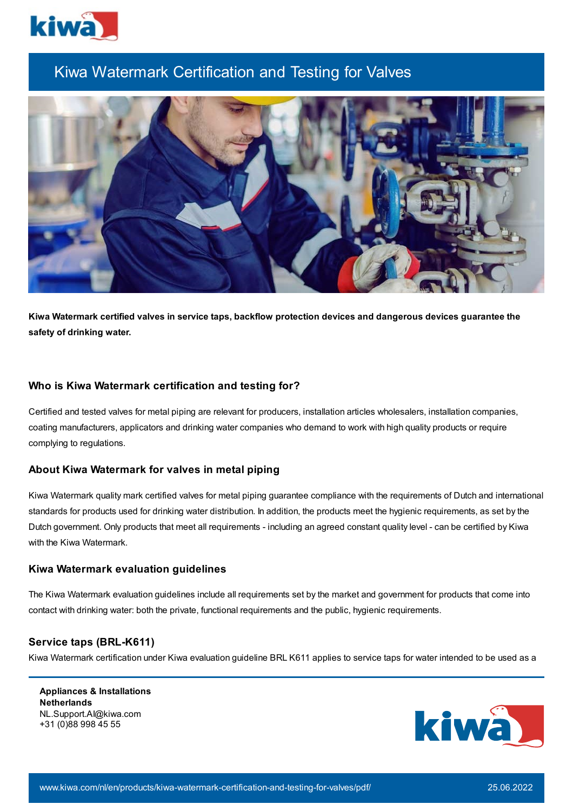

# Kiwa Watermark Certification and Testing for Valves



**Kiwa Watermark certified valves in service taps, backflow protection devices and dangerous devices guarantee the safety of drinking water.**

## **Who is Kiwa Watermark certification and testing for?**

Certified and tested valves for metal piping are relevant for producers, installation articles wholesalers, installation companies, coating manufacturers, applicators and drinking water companies who demand to work with high quality products or require complying to regulations.

# **About Kiwa Watermark for valves in metal piping**

Kiwa Watermark quality mark certified valves for metal piping guarantee compliance with the requirements of Dutch and international standards for products used for drinking water distribution. In addition, the products meet the hygienic requirements, as set by the Dutch government. Only products that meet all requirements - including an agreed constant quality level - can be certified by Kiwa with the Kiwa Watermark.

## **Kiwa Watermark evaluation guidelines**

The Kiwa Watermark evaluation guidelines include all requirements set by the market and government for products that come into contact with drinking water: both the private, functional requirements and the public, hygienic requirements.

## **Service taps (BRL-K611)**

Kiwa Watermark certification under Kiwa evaluation guideline BRL K611 applies to service taps for water intended to be used as a

**Appliances & Installations Netherlands** NL.Support.AI@kiwa.com +31 (0)88 998 45 55

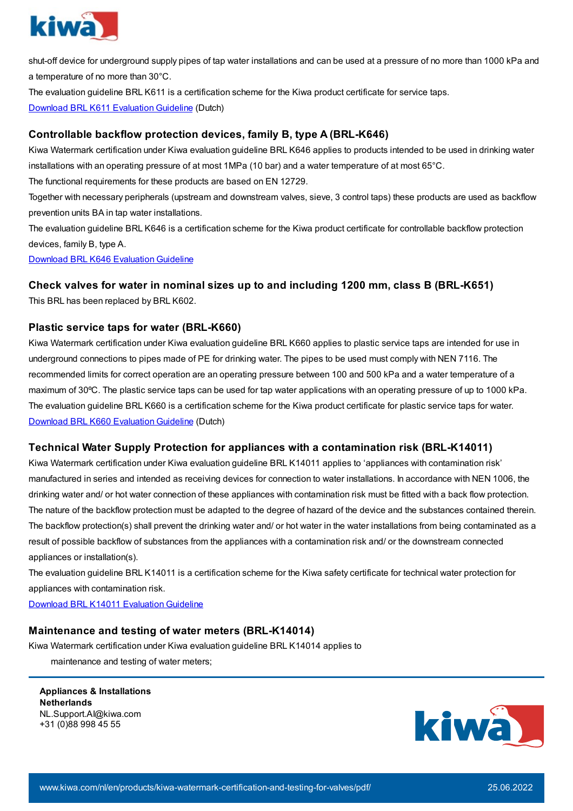

shut-off device for underground supply pipes of tap water installations and can be used at a pressure of no more than 1000 kPa and a temperature of no more than 30°C.

The evaluation guideline BRL K611 is a certification scheme for the Kiwa product certificate for service taps.

Download BRL K611 [Evaluation](https://www.kiwa.com//4ac092/globalassets/dam/kiwa-netherlands/downloads/k6112.pdf) Guideline (Dutch)

## **Controllable backflow protection devices, family B, type A (BRL-K646)**

Kiwa Watermark certification under Kiwa evaluation guideline BRL K646 applies to products intended to be used in drinking water installations with an operating pressure of at most 1MPa (10 bar) and a water temperature of at most 65°C.

The functional requirements for these products are based on EN 12729.

Together with necessary peripherals (upstream and downstream valves, sieve, 3 control taps) these products are used as backflow prevention units BA in tap water installations.

The evaluation guideline BRL K646 is a certification scheme for the Kiwa product certificate for controllable backflow protection devices, family B, type A.

Download BRL K646 [Evaluation](https://www.kiwa.com//4b0b9c/globalassets/dam/kiwa-corporate/downloads/k646-03---controllable-backflow-protection-devices-family-b-type-a---20120201---en.pdf) Guideline

## **Check valves for water in nominal sizes up to and including 1200 mm, class B (BRL-K651)**

This BRL has been replaced by BRL K602.

## **Plastic service taps for water (BRL-K660)**

Kiwa Watermark certification under Kiwa evaluation guideline BRL K660 applies to plastic service taps are intended for use in underground connections to pipes made of PE for drinking water. The pipes to be used must comply with NEN 7116. The recommended limits for correct operation are an operating pressure between 100 and 500 kPa and a water temperature of a maximum of 30ºC. The plastic service taps can be used for tap water applications with an operating pressure of up to 1000 kPa. The evaluation guideline BRL K660 is a certification scheme for the Kiwa product certificate for plastic service taps for water. Download BRL K660 [Evaluation](https://www.kiwa.com//4aceb2/globalassets/dam/kiwa-netherlands/downloads/brl-k660----kunststof-dienstkranen-voor-water----nl----01122018-.pdf) Guideline (Dutch)

## **Technical Water Supply Protection for appliances with a contamination risk (BRL-K14011)**

Kiwa Watermark certification under Kiwa evaluation guideline BRL K14011 applies to 'appliances with contamination risk' manufactured in series and intended as receiving devices for connection to water installations. In accordance with NEN 1006, the drinking water and/ or hot water connection of these appliances with contamination risk must be fitted with a back flow protection. The nature of the backflow protection must be adapted to the degree of hazard of the device and the substances contained therein. The backflow protection(s) shall prevent the drinking water and/ or hot water in the water installations from being contaminated as a result of possible backflow of substances from the appliances with a contamination risk and/ or the downstream connected appliances or installation(s).

The evaluation guideline BRL K14011 is a certification scheme for the Kiwa safety certificate for technical water protection for appliances with contamination risk.

Download BRL K14011 [Evaluation](https://www.kiwa.com//4a1cb6/globalassets/dam/kiwa-netherlands/downloads/brl-k14011---technical-water-supply-safety-aspects---20190627---en-2.pdf) Guideline

## **Maintenance and testing of water meters (BRL-K14014)**

Kiwa Watermark certification under Kiwa evaluation guideline BRL K14014 applies to

maintenance and testing of water meters;

**Appliances & Installations Netherlands** NL.Support.AI@kiwa.com +31 (0)88 998 45 55